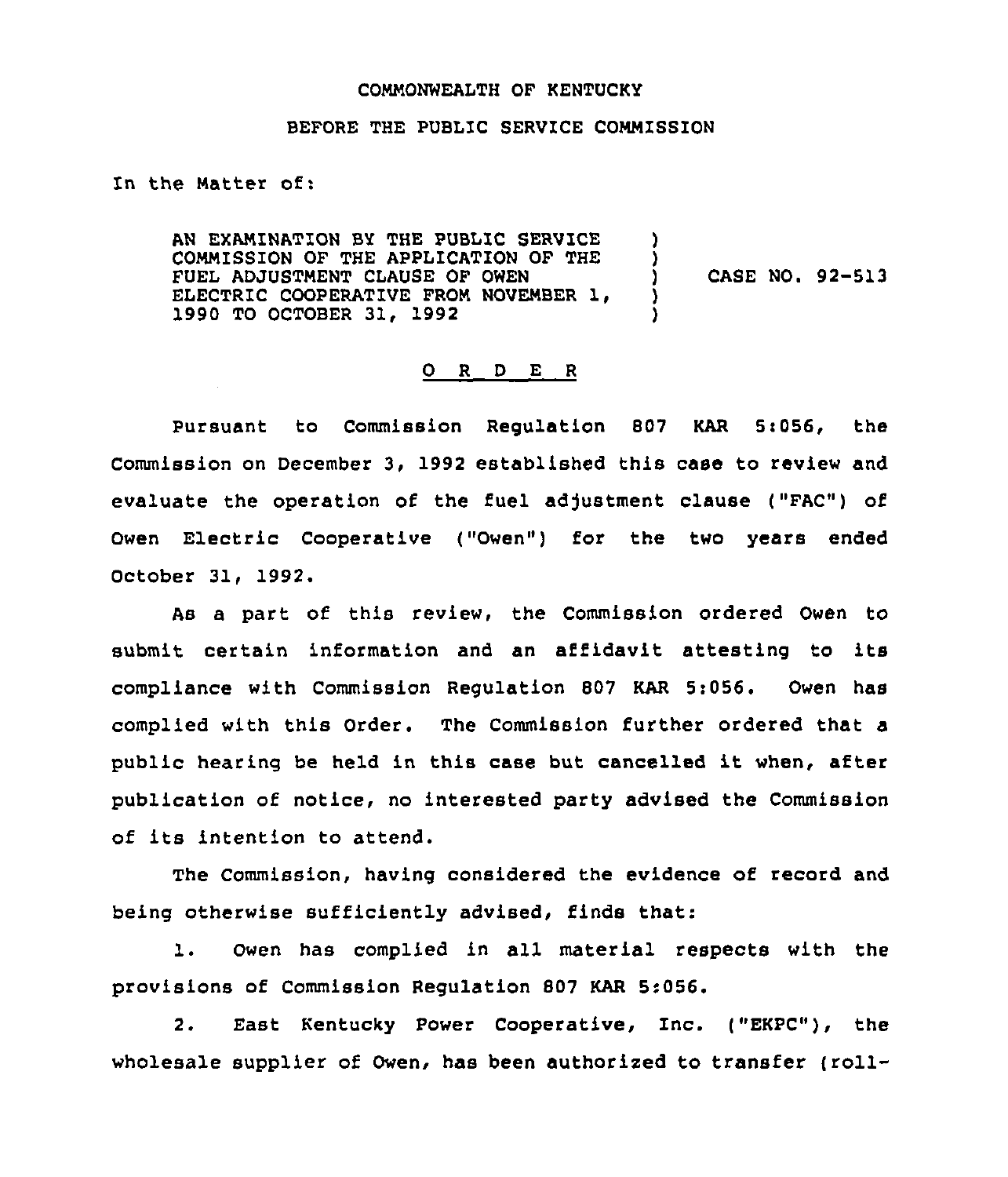#### COMMONWEALTH OF KENTUCKY

### BEFORE THE PUBLIC SERVICE COMMISSION

In the Natter of:

AN EXAMINATION BY THE PUBLIC SERVICE COMMISSION OF THE APPLICATION OF THE FUEL ADJUSTMENT CLAUSE OF OWEN ELECTRIC COOPERATIVE FROM NOVEMBER 1. 1990 TO OCTOBER 31, 1992 ) ) CASE NO. 92-513 )<br>) )

### 0 <sup>R</sup> <sup>D</sup> E <sup>R</sup>

Pursuant to Commission Requlation 807 KAR 5:056, the commission on December 3, 1992 established this case to review and evaluate the operation of the fuel adjustment clause ("FAC") of Owen Electric Cooperative ("Owen") for the two years ended October 31, 1992.

As a part of this review, the Commission ordered Owen to submit certain information and an affidavit attesting to its compliance with Commission Regulation 807 KAR 5:056. Owen has complied with this Order. The Commission further ordered that a public hearing be held in this case but cancelled it when, after publication of notice, no interested party advised the Commission of its intention to attend.

The Commission, having considered the evidence of record and being otherwise sufficiently advised, finds that:

l. Owen has complied in all material respects with the provisions of Commission Regulation 807 KAR 5:056.

2. East Kentucky Power Cooperative, Inc. ("EKPC"), the wholesale supplier of Owen, has been authorized to transfer (roll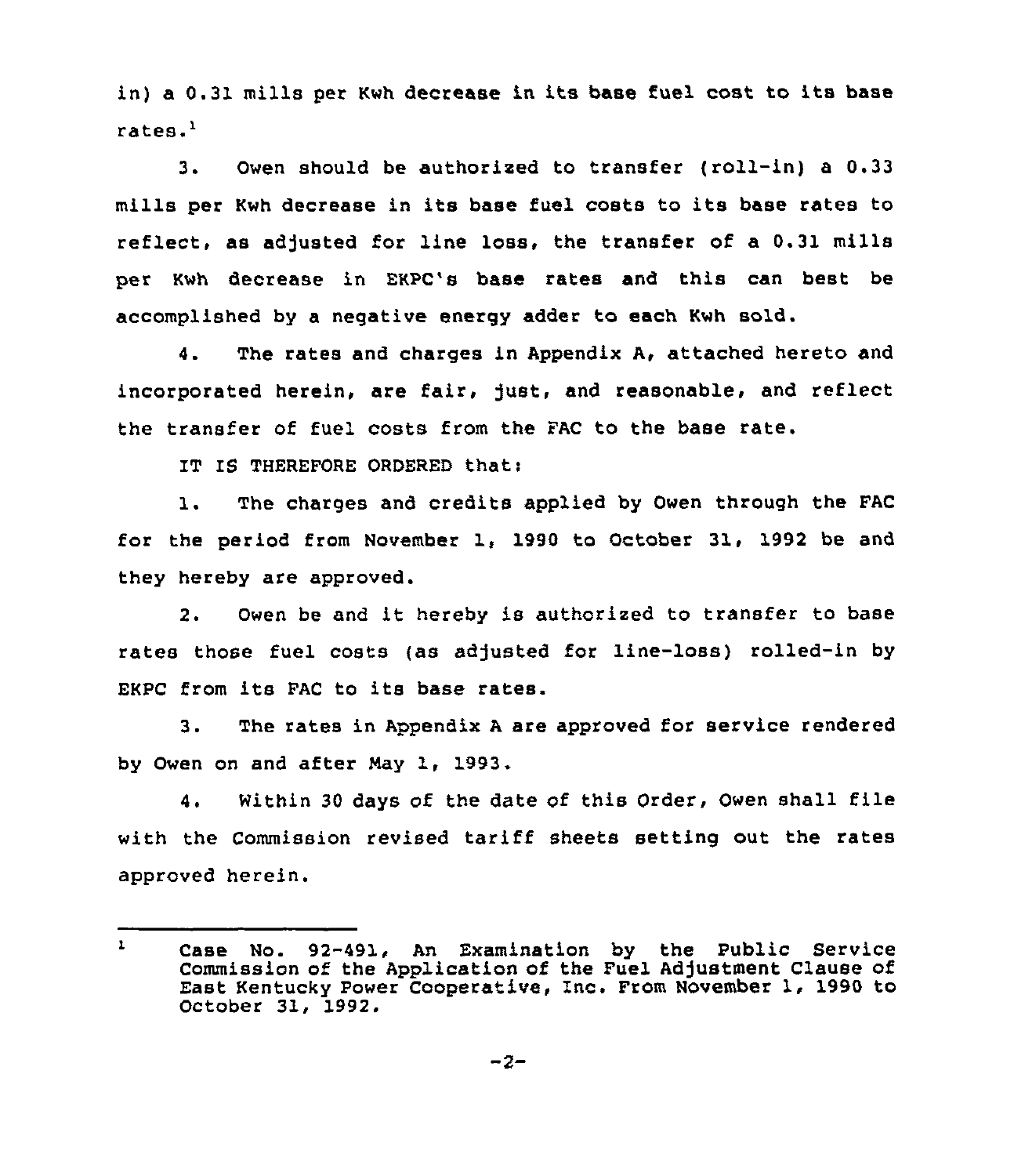in) a 0.31 mills per Kwh decrease in its base fuel cost to its base rates.'.

Owen should be authorized to transfer (roll-in) a 0.33  $3.$ mills per Kwh decrease in its base fuel costs to its base rates to reflect, as adjusted for line loss, the transfer of a 0.31 mills per Kwh decrease in EKPC's base rates and this can best be accomplished by a negative energy adder to each Kwh sold.

4. The rates and charges in Appendix A, attached hereto and incorporated herein, are fair, just, and reasonable, and reflect the transfer of fuel costs from the FAC to the base rate.

IT IS THEREFORE ORDERED that:

1. The charges and credits applied by Owen through the FAC for the period from November 1, 1990 to October 31, 1992 be and they hereby are approved.

2. Owen be and it hereby is authorized to transfer to base rates those fuel costs (as adjusted for line-loss) rolled-in by EKPC from its FAC to its base rates.

3. The rates in Appendix <sup>A</sup> are approved for service rendered by Owen on and after Nay 1, 1993.

4. Within <sup>30</sup> days of the date of this Order, Owen shall file with the Commission revised tariff sheets setting out the rates approved herein.

Case No. 92-491, An Examination by the Public Service  $\mathbf{I}$ Commission of the Application of the Fuel Adjustment Clause of East Kentucky Power Cooperative, Inc. From November 1, 1990 to October 31, 1992.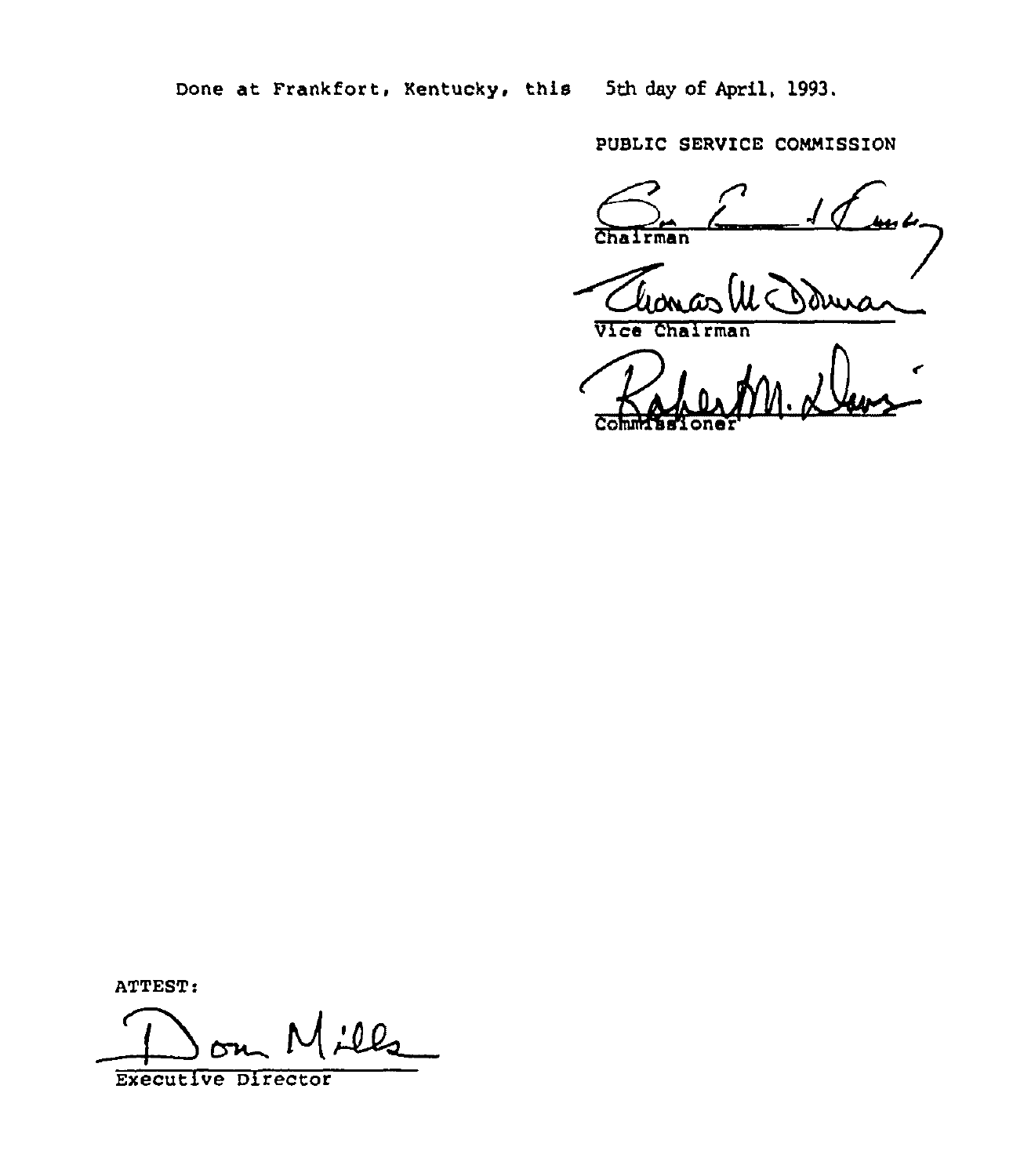Done at Frankfort, Kentucky, this 5th day of April, 1993.

PUBLIC SERVICE COMMISSION

مکو بیلیا  $\overline{\text{Cha}}$ rman

duis

Vice Chairman

ATTEST:

lls

**Executive Director**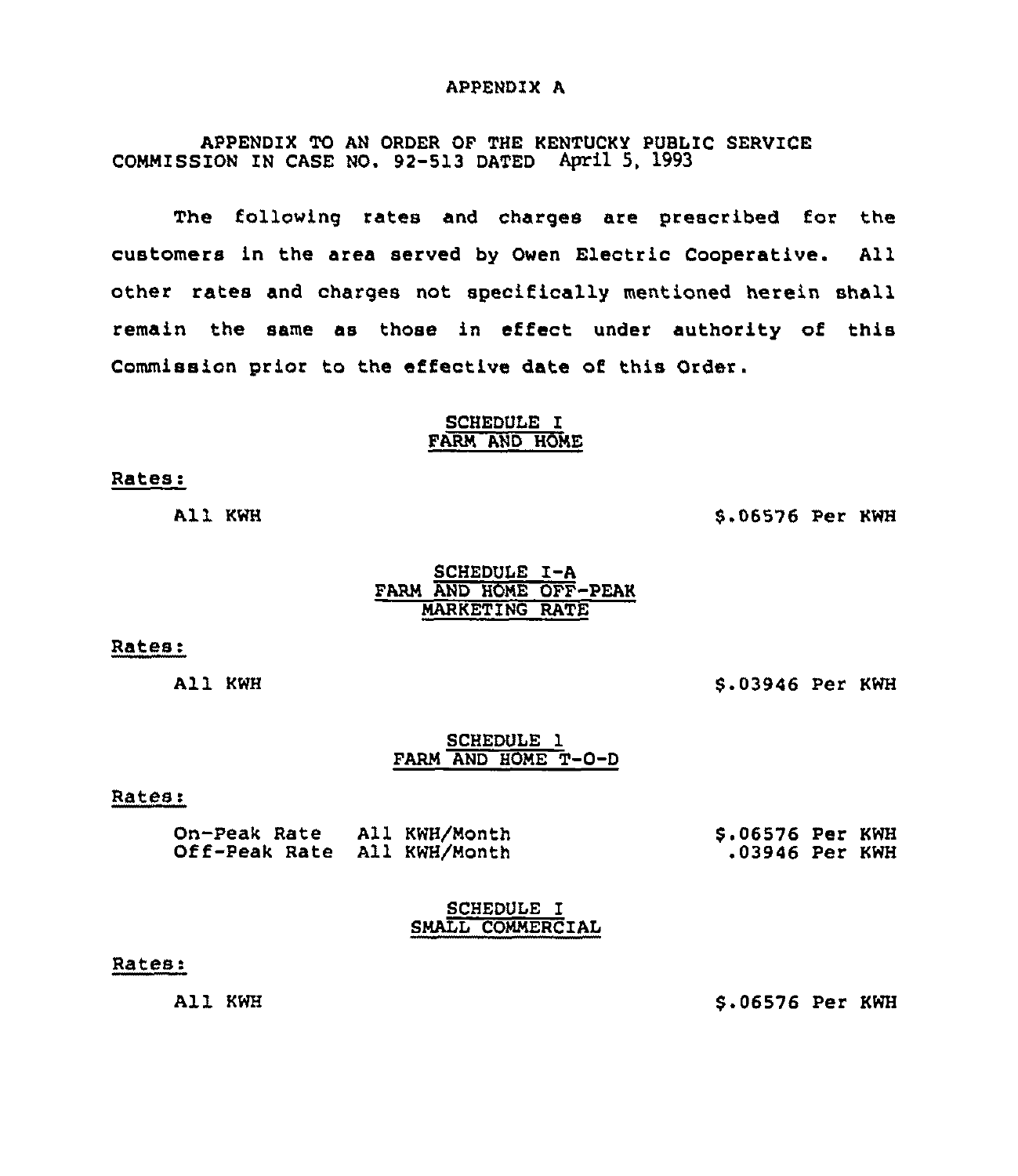#### APPENDIX A

APPENDIX TO AN ORDER OF THE KENTUCKY PUBLIC SERVICE COMMISSION IN CASE NO. 92-513 DATED April 5, 1993

The following rates and charges are prescribed for the customers in the area served by Owen Electric Cooperative. All other rates and charges not specifically mentioned herein shall remain the same as those in effect under authority of this Commission prior to the effective date of this Order.

### SCHEDULE I FARM AND HOME

#### Rates:

All KWH

5,06576 Per KWH

### SCHEDULE I-A FARM AND HOME OFF-PEAK MARKETING RATE

#### Rates:

All KWH

6.03946 Per KWH

### SCHEDULE 1 FARM AND HOME T-0-D

#### Rates:

| On-Peak Rate All KWH/Month  | \$.06576 Per KWH |  |
|-----------------------------|------------------|--|
| Off-Peak Rate All KWH/Month | .03946 Per KWH   |  |

SCHEDULE I SMALL COMMERCIAL

#### Rates.

All KWH

\$ .06576 Per KWH